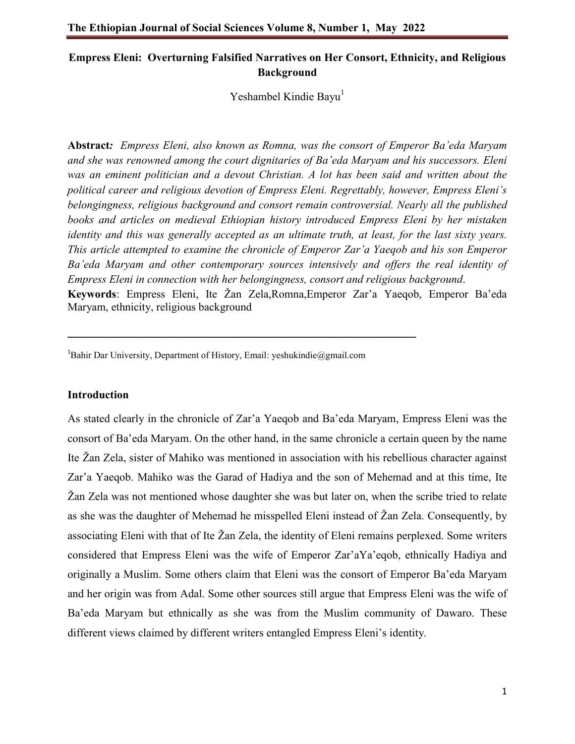# **Empress Eleni: Overturning Falsified Narratives on Her Consort, Ethnicity, and Religious Background**

Yeshambel Kindie Bayu<sup>1</sup>

**Abstract***: Empress Eleni, also known as Romna, was the consort of Emperor Ba'eda Maryam and she was renowned among the court dignitaries of Ba'eda Maryam and his successors. Eleni was an eminent politician and a devout Christian. A lot has been said and written about the political career and religious devotion of Empress Eleni. Regrettably, however, Empress Eleni's belongingness, religious background and consort remain controversial. Nearly all the published books and articles on medieval Ethiopian history introduced Empress Eleni by her mistaken identity and this was generally accepted as an ultimate truth, at least, for the last sixty years. This article attempted to examine the chronicle of Emperor Zar'a Yaeqob and his son Emperor Ba'eda Maryam and other contemporary sources intensively and offers the real identity of Empress Eleni in connection with her belongingness, consort and religious background*. **Keywords**: Empress Eleni, Ite Žan Zela,Romna,Emperor Zar'a Yaeqob, Emperor Ba'eda

Maryam, ethnicity, religious background

<sup>1</sup>Bahir Dar University, Department of History, Email: yeshukindie@gmail.com

**\_\_\_\_\_\_\_\_\_\_\_\_\_\_\_\_\_\_\_\_\_\_\_\_\_\_\_\_\_\_\_\_\_\_\_\_\_\_\_\_\_\_\_\_\_\_\_\_\_\_\_\_\_**

### **Introduction**

As stated clearly in the chronicle of Zar'a Yaeqob and Ba'eda Maryam, Empress Eleni was the consort of Ba'eda Maryam. On the other hand, in the same chronicle a certain queen by the name Ite Žan Zela, sister of Mahiko was mentioned in association with his rebellious character against Zar'a Yaeqob. Mahiko was the Garad of Hadiya and the son of Mehemad and at this time, Ite Žan Zela was not mentioned whose daughter she was but later on, when the scribe tried to relate as she was the daughter of Mehemad he misspelled Eleni instead of Žan Zela. Consequently, by associating Eleni with that of Ite Žan Zela, the identity of Eleni remains perplexed. Some writers considered that Empress Eleni was the wife of Emperor Zar'aYa'eqob, ethnically Hadiya and originally a Muslim. Some others claim that Eleni was the consort of Emperor Ba'eda Maryam and her origin was from Adal. Some other sources still argue that Empress Eleni was the wife of Ba'eda Maryam but ethnically as she was from the Muslim community of Dawaro. These different views claimed by different writers entangled Empress Eleni's identity.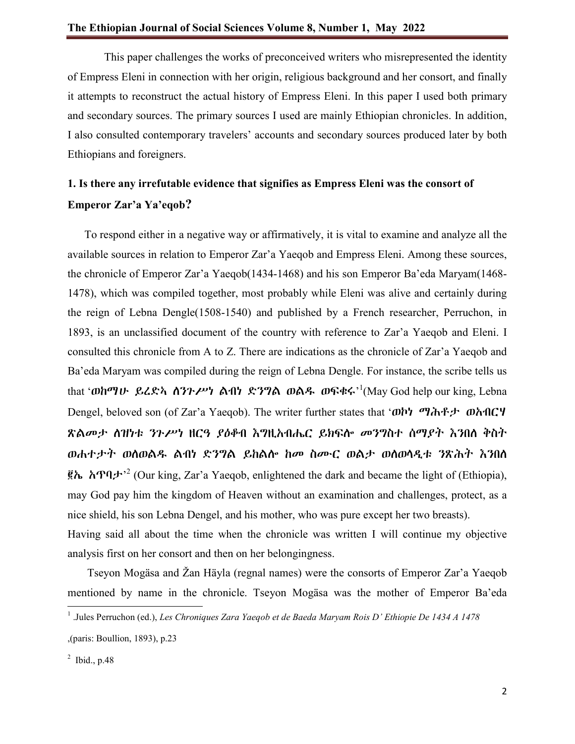This paper challenges the works of preconceived writers who misrepresented the identity of Empress Eleni in connection with her origin, religious background and her consort, and finally it attempts to reconstruct the actual history of Empress Eleni. In this paper I used both primary and secondary sources. The primary sources I used are mainly Ethiopian chronicles. In addition, I also consulted contemporary travelers' accounts and secondary sources produced later by both Ethiopians and foreigners.

# **1. Is there any irrefutable evidence that signifies as Empress Eleni was the consort of Emperor Zar'a Ya'eqob?**

 To respond either in a negative way or affirmatively, it is vital to examine and analyze all the available sources in relation to Emperor Zar'a Yaeqob and Empress Eleni. Among these sources, the chronicle of Emperor Zar'a Yaeqob(1434-1468) and his son Emperor Ba'eda Maryam(1468- 1478), which was compiled together, most probably while Eleni was alive and certainly during the reign of Lebna Dengle(1508-1540) and published by a French researcher, Perruchon, in 1893, is an unclassified document of the country with reference to Zar'a Yaeqob and Eleni. I consulted this chronicle from A to Z. There are indications as the chronicle of Zar'a Yaeqob and Ba'eda Maryam was compiled during the reign of Lebna Dengle. For instance, the scribe tells us that '**ወከማሁ ይረድኣ ሰንጉሥነ ልብነ ድንግል ወልዱ ወፍቁሩ**'<sup>1</sup>(May God help our king, Lebna Dengel, beloved son (of Zar'a Yaeqob). The writer further states that 'ወኮነ ማሕቶታ ወአብርሃ ጽልመታ ለዝነቱ ንጉሥነ ዘርዓ ያዕቆብ እግዚአብሔር ይክፍሎ መንግስተ ሰማያት እንበለ ቅስት ወሐተታት ወለወልዱ ልብነ ድንግል ይከልሎ ከመ ስሙር ወልታ ወለወላዲቱ ንጽሕት እንበለ  $\mathbf{\hat{R}}$ ኤ አጥባታ'<sup>2</sup> (Our king, Zar'a Yaeqob, enlightened the dark and became the light of (Ethiopia), may God pay him the kingdom of Heaven without an examination and challenges, protect, as a nice shield, his son Lebna Dengel, and his mother, who was pure except her two breasts). Having said all about the time when the chronicle was written I will continue my objective analysis first on her consort and then on her belongingness.

 Tseyon Mogäsa and Žan Häyla (regnal names) were the consorts of Emperor Zar'a Yaeqob mentioned by name in the chronicle. Tseyon Mogäsa was the mother of Emperor Ba'eda

<sup>1</sup> .Jules Perruchon (ed.), *Les Chroniques Zara Yaeqob et de Baeda Maryam Rois D' Ethiopie De 1434 A 1478*

<sup>,(</sup>paris: Boullion, 1893), p.23

 $<sup>2</sup>$  Ibid., p.48</sup>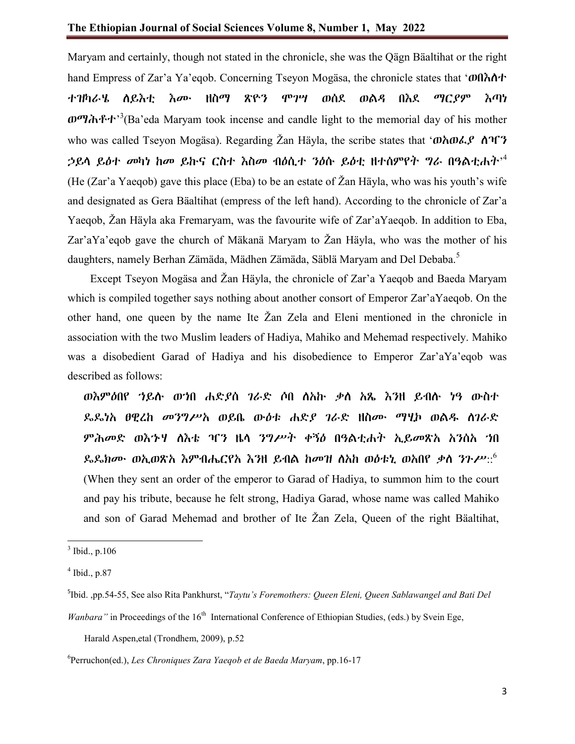Maryam and certainly, though not stated in the chronicle, she was the Qägn Bäaltihat or the right hand Empress of Zar'a Ya'eqob. Concerning Tseyon Mogäsa, the chronicle states that 'ወበእለተ ተዝካራሄ ለይእቲ እሙ ዘስማ ጽዮን ሞገሣ ወሰደ ወልዳ በእደ ማርያም እጣነ ወማሕቶተ'<sup>3</sup>(Ba'eda Maryam took incense and candle light to the memorial day of his mother who was called Tseyon Mogäsa). Regarding Žan Häyla, the scribe states that ' $\omega \wedge \omega \wedge \gamma$ ' ኃይላ ይዕተ መካነ ከመ ይኩና ርስተ እስመ ብዕሲተ ንዕሱ ይዕቲ ዘተሰምየት ግራ በዓልቲሐት' 4 (He (Zar'a Yaeqob) gave this place (Eba) to be an estate of Žan Häyla, who was his youth's wife and designated as Gera Bäaltihat (empress of the left hand). According to the chronicle of Zar'a Yaeqob, Žan Häyla aka Fremaryam, was the favourite wife of Zar'aYaeqob. In addition to Eba, Zar'aYa'eqob gave the church of Mäkanä Maryam to Žan Häyla, who was the mother of his daughters, namely Berhan Zämäda, Mädhen Zämäda, Säblä Maryam and Del Debaba.<sup>5</sup>

 Except Tseyon Mogäsa and Žan Häyla, the chronicle of Zar'a Yaeqob and Baeda Maryam which is compiled together says nothing about another consort of Emperor Zar'aYaeqob. On the other hand, one queen by the name Ite Žan Zela and Eleni mentioned in the chronicle in association with the two Muslim leaders of Hadiya, Mahiko and Mehemad respectively. Mahiko was a disobedient Garad of Hadiya and his disobedience to Emperor Zar'aYa'eqob was described as follows:

ወእምዕበየ ኀይሉ ወኀበ ሐድያሰ ገራድ ሶበ ለአኩ ቃለ አጼ እንዘ ይብሉ ነዓ ውስተ ዴዴነአ ፀዊረከ መንግሥአ ወይቤ ውዕቱ ሐድያ ገራድ ዘስሙ ማሂኮ ወልዱ ለገራድ ምሕመድ ወእኁሃ ለእቴ ዣን ዜላ ንግሥት ቀኝዕ በዓልቲሐት ኢይመጽአ አንሰአ ኀበ ዴዴክሙ ወኢወጽአ እምብሔርየአ እንዘ ይብል ከመዝ ለአከ ወዕቱኒ ወአበየ ቃለ ንጉሥ::6 (When they sent an order of the emperor to Garad of Hadiya, to summon him to the court and pay his tribute, because he felt strong, Hadiya Garad, whose name was called Mahiko and son of Garad Mehemad and brother of Ite Žan Zela, Queen of the right Bäaltihat,

Harald Aspen,etal (Trondhem, 2009), p.52

 $3$  Ibid., p.106

 $<sup>4</sup>$  Ibid., p.87</sup>

<sup>5</sup> Ibid. ,pp.54-55, See also Rita Pankhurst, "*Taytu's Foremothers: Queen Eleni, Queen Sablawangel and Bati Del* 

*Wanbara"* in Proceedings of the 16<sup>th</sup> International Conference of Ethiopian Studies, (eds.) by Svein Ege,

<sup>6</sup> Perruchon(ed.), *Les Chroniques Zara Yaeqob et de Baeda Maryam*, pp.16-17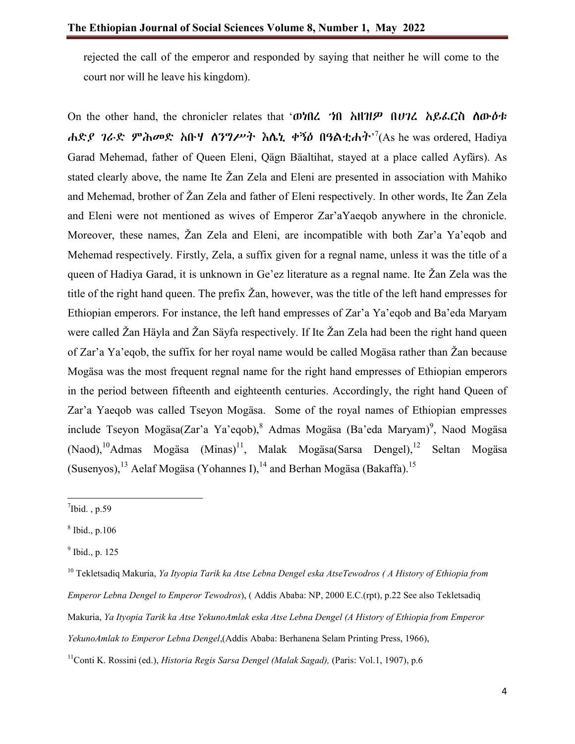rejected the call of the emperor and responded by saying that neither he will come to the court nor will he leave his kingdom).

On the other hand, the chronicler relates that 'ወነበረ ኀበ አዘዝዎ በሀገረ አይፈርስ ለውዕቱ ሐድ*ያ ገራ*ድ ምሕመድ አቡሃ ሰንግሥት እሴኒ ቀኝዕ በዓልቲሐት<sup>,7</sup>(As he was ordered, Hadiya Garad Mehemad, father of Queen Eleni, Qägn Bäaltihat, stayed at a place called Ayfärs). As stated clearly above, the name Ite Žan Zela and Eleni are presented in association with Mahiko and Mehemad, brother of Žan Zela and father of Eleni respectively. In other words, Ite Žan Zela and Eleni were not mentioned as wives of Emperor Zar'aYaeqob anywhere in the chronicle. Moreover, these names, Žan Zela and Eleni, are incompatible with both Zar'a Ya'eqob and Mehemad respectively. Firstly, Zela, a suffix given for a regnal name, unless it was the title of a queen of Hadiya Garad, it is unknown in Ge'ez literature as a regnal name. Ite Žan Zela was the title of the right hand queen. The prefix Žan, however, was the title of the left hand empresses for Ethiopian emperors. For instance, the left hand empresses of Zar'a Ya'eqob and Ba'eda Maryam were called Žan Häyla and Žan Säyfa respectively. If Ite Žan Zela had been the right hand queen of Zar'a Ya'eqob, the suffix for her royal name would be called Mogäsa rather than Žan because Mogäsa was the most frequent regnal name for the right hand empresses of Ethiopian emperors in the period between fifteenth and eighteenth centuries. Accordingly, the right hand Queen of Zar'a Yaeqob was called Tseyon Mogäsa. Some of the royal names of Ethiopian empresses include Tseyon Mogäsa(Zar'a Ya'eqob), <sup>8</sup> Admas Mogäsa (Ba'eda Maryam)<sup>9</sup>, Naod Mogäsa  $(Naod),<sup>10</sup>$ Admas Mogäsa  $(Minas)<sup>11</sup>$ , Malak Mogäsa(Sarsa Dengel),<sup>12</sup> Seltan Mogäsa (Susenyos), <sup>13</sup> Aelaf Mogäsa (Yohannes I), <sup>14</sup> and Berhan Mogäsa (Bakaffa).<sup>15</sup>

11Conti K. Rossini (ed.), *Historia Regis Sarsa Dengel (Malak Sagad),* (Paris: Vol.1, 1907), p.6

<sup>-&</sup>lt;br>7  $\mathrm{7}$ Ibid., p.59

 $8$  Ibid., p.106

 $<sup>9</sup>$  Ibid., p. 125</sup>

<sup>10</sup> Tekletsadiq Makuria, *Ya Ityopia Tarik ka Atse Lebna Dengel eska AtseTewodros ( A History of Ethiopia from Emperor Lebna Dengel to Emperor Tewodros*), ( Addis Ababa: NP, 2000 E.C.(rpt), p.22 See also Tekletsadiq Makuria, *Ya Ityopia Tarik ka Atse YekunoAmlak eska Atse Lebna Dengel (A History of Ethiopia from Emperor YekunoAmlak to Emperor Lebna Dengel*,(Addis Ababa: Berhanena Selam Printing Press, 1966),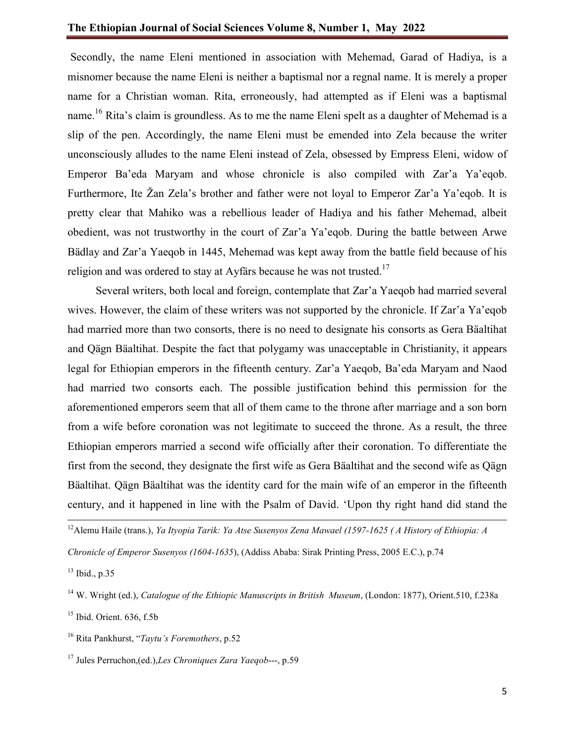Secondly, the name Eleni mentioned in association with Mehemad, Garad of Hadiya, is a misnomer because the name Eleni is neither a baptismal nor a regnal name. It is merely a proper name for a Christian woman. Rita, erroneously, had attempted as if Eleni was a baptismal name.<sup>16</sup> Rita's claim is groundless. As to me the name Eleni spelt as a daughter of Mehemad is a slip of the pen. Accordingly, the name Eleni must be emended into Zela because the writer unconsciously alludes to the name Eleni instead of Zela, obsessed by Empress Eleni, widow of Emperor Ba'eda Maryam and whose chronicle is also compiled with Zar'a Ya'eqob. Furthermore, Ite Žan Zela's brother and father were not loyal to Emperor Zar'a Ya'eqob. It is pretty clear that Mahiko was a rebellious leader of Hadiya and his father Mehemad, albeit obedient, was not trustworthy in the court of Zar'a Ya'eqob. During the battle between Arwe Bädlay and Zar'a Yaeqob in 1445, Mehemad was kept away from the battle field because of his religion and was ordered to stay at Ayfärs because he was not trusted.<sup>17</sup>

 Several writers, both local and foreign, contemplate that Zar'a Yaeqob had married several wives. However, the claim of these writers was not supported by the chronicle. If Zar'a Ya'eqob had married more than two consorts, there is no need to designate his consorts as Gera Bäaltihat and Qägn Bäaltihat. Despite the fact that polygamy was unacceptable in Christianity, it appears legal for Ethiopian emperors in the fifteenth century. Zar'a Yaeqob, Ba'eda Maryam and Naod had married two consorts each. The possible justification behind this permission for the aforementioned emperors seem that all of them came to the throne after marriage and a son born from a wife before coronation was not legitimate to succeed the throne. As a result, the three Ethiopian emperors married a second wife officially after their coronation. To differentiate the first from the second, they designate the first wife as Gera Bäaltihat and the second wife as Qägn Bäaltihat. Qägn Bäaltihat was the identity card for the main wife of an emperor in the fifteenth century, and it happened in line with the Psalm of David. 'Upon thy right hand did stand the

12Alemu Haile (trans.), *Ya Ityopia Tarik: Ya Atse Susenyos Zena Mawael (1597-1625 ( A History of Ethiopia: A* 

*Chronicle of Emperor Susenyos (1604-1635*), (Addiss Ababa: Sirak Printing Press, 2005 E.C.), p.74

<sup>13</sup> Ibid., p.35

<sup>14</sup> W. Wright (ed.), *Catalogue of the Ethiopic Manuscripts in British Museum*, (London: 1877), Orient.510, f.238a

<sup>&</sup>lt;sup>15</sup> Ibid. Orient. 636, f.5b

<sup>16</sup> Rita Pankhurst, "*Taytu's Foremothers*, p.52

<sup>17</sup> Jules Perruchon,(ed.),*Les Chroniques Zara Yaeqob*---, p.59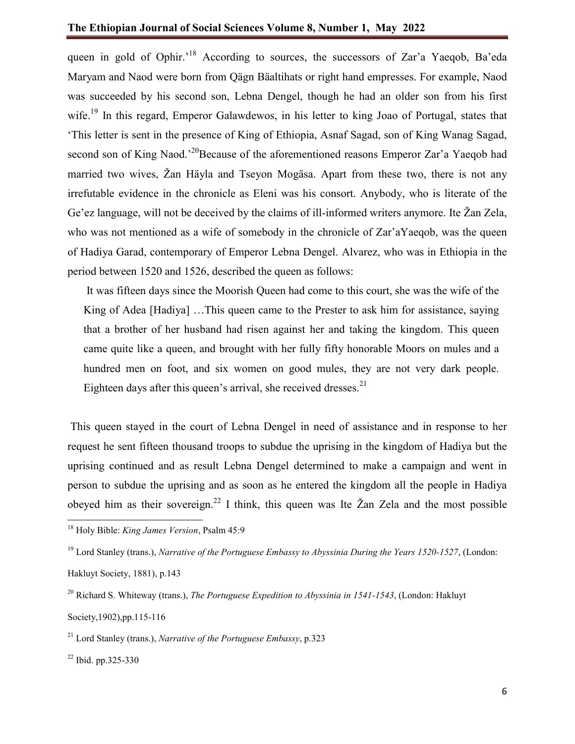## **The Ethiopian Journal of Social Sciences Volume 8, Number 1, May 2022**

queen in gold of Ophir.<sup>18</sup> According to sources, the successors of Zar'a Yaeqob, Ba'eda Maryam and Naod were born from Qägn Bäaltihats or right hand empresses. For example, Naod was succeeded by his second son, Lebna Dengel, though he had an older son from his first wife.<sup>19</sup> In this regard, Emperor Galawdewos, in his letter to king Joao of Portugal, states that 'This letter is sent in the presence of King of Ethiopia, Asnaf Sagad, son of King Wanag Sagad, second son of King Naod.<sup>20</sup>Because of the aforementioned reasons Emperor Zar'a Yaeqob had married two wives, Žan Häyla and Tseyon Mogäsa. Apart from these two, there is not any irrefutable evidence in the chronicle as Eleni was his consort. Anybody, who is literate of the Ge'ez language, will not be deceived by the claims of ill-informed writers anymore. Ite Žan Zela, who was not mentioned as a wife of somebody in the chronicle of Zar'aYaeqob, was the queen of Hadiya Garad, contemporary of Emperor Lebna Dengel. Alvarez, who was in Ethiopia in the period between 1520 and 1526, described the queen as follows:

It was fifteen days since the Moorish Queen had come to this court, she was the wife of the King of Adea [Hadiya] ...This queen came to the Prester to ask him for assistance, saying that a brother of her husband had risen against her and taking the kingdom. This queen came quite like a queen, and brought with her fully fifty honorable Moors on mules and a hundred men on foot, and six women on good mules, they are not very dark people. Eighteen days after this queen's arrival, she received dresses. $21$ 

This queen stayed in the court of Lebna Dengel in need of assistance and in response to her request he sent fifteen thousand troops to subdue the uprising in the kingdom of Hadiya but the uprising continued and as result Lebna Dengel determined to make a campaign and went in person to subdue the uprising and as soon as he entered the kingdom all the people in Hadiya obeyed him as their sovereign.<sup>22</sup> I think, this queen was Ite  $\check{Z}$ an Zela and the most possible

<sup>18</sup> Holy Bible: *King James Version*, Psalm 45:9

<sup>19</sup> Lord Stanley (trans.), *Narrative of the Portuguese Embassy to Abyssinia During the Years 1520-1527*, (London:

Hakluyt Society, 1881), p.143

<sup>20</sup> Richard S. Whiteway (trans.), *The Portuguese Expedition to Abyssinia in 1541-1543*, (London: Hakluyt

Society,1902),pp.115-116

<sup>21</sup> Lord Stanley (trans.), *Narrative of the Portuguese Embassy*, p.323

 $22$  Ibid. pp. 325-330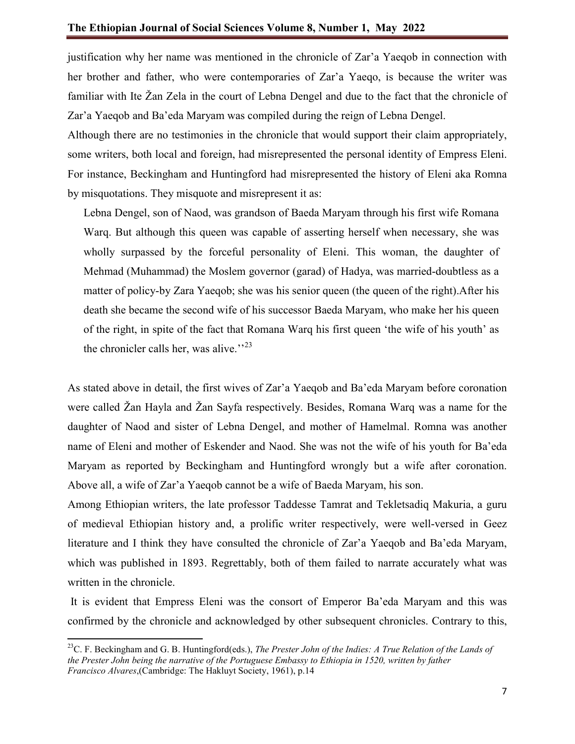justification why her name was mentioned in the chronicle of Zar'a Yaeqob in connection with her brother and father, who were contemporaries of Zar'a Yaeqo, is because the writer was familiar with Ite Žan Zela in the court of Lebna Dengel and due to the fact that the chronicle of Zar'a Yaeqob and Ba'eda Maryam was compiled during the reign of Lebna Dengel.

Although there are no testimonies in the chronicle that would support their claim appropriately, some writers, both local and foreign, had misrepresented the personal identity of Empress Eleni. For instance, Beckingham and Huntingford had misrepresented the history of Eleni aka Romna by misquotations. They misquote and misrepresent it as:

Lebna Dengel, son of Naod, was grandson of Baeda Maryam through his first wife Romana Warq. But although this queen was capable of asserting herself when necessary, she was wholly surpassed by the forceful personality of Eleni. This woman, the daughter of Mehmad (Muhammad) the Moslem governor (garad) of Hadya, was married-doubtless as a matter of policy-by Zara Yaeqob; she was his senior queen (the queen of the right).After his death she became the second wife of his successor Baeda Maryam, who make her his queen of the right, in spite of the fact that Romana Warq his first queen 'the wife of his youth' as the chronicler calls her, was alive. $123$ 

As stated above in detail, the first wives of Zar'a Yaeqob and Ba'eda Maryam before coronation were called Žan Hayla and Žan Sayfa respectively. Besides, Romana Warq was a name for the daughter of Naod and sister of Lebna Dengel, and mother of Hamelmal. Romna was another name of Eleni and mother of Eskender and Naod. She was not the wife of his youth for Ba'eda Maryam as reported by Beckingham and Huntingford wrongly but a wife after coronation. Above all, a wife of Zar'a Yaeqob cannot be a wife of Baeda Maryam, his son.

Among Ethiopian writers, the late professor Taddesse Tamrat and Tekletsadiq Makuria, a guru of medieval Ethiopian history and, a prolific writer respectively, were well-versed in Geez literature and I think they have consulted the chronicle of Zar'a Yaeqob and Ba'eda Maryam, which was published in 1893. Regrettably, both of them failed to narrate accurately what was written in the chronicle.

It is evident that Empress Eleni was the consort of Emperor Ba'eda Maryam and this was confirmed by the chronicle and acknowledged by other subsequent chronicles. Contrary to this,

23C. F. Beckingham and G. B. Huntingford(eds.), *The Prester John of the Indies: A True Relation of the Lands of the Prester John being the narrative of the Portuguese Embassy to Ethiopia in 1520, written by father Francisco Alvares*,(Cambridge: The Hakluyt Society, 1961), p.14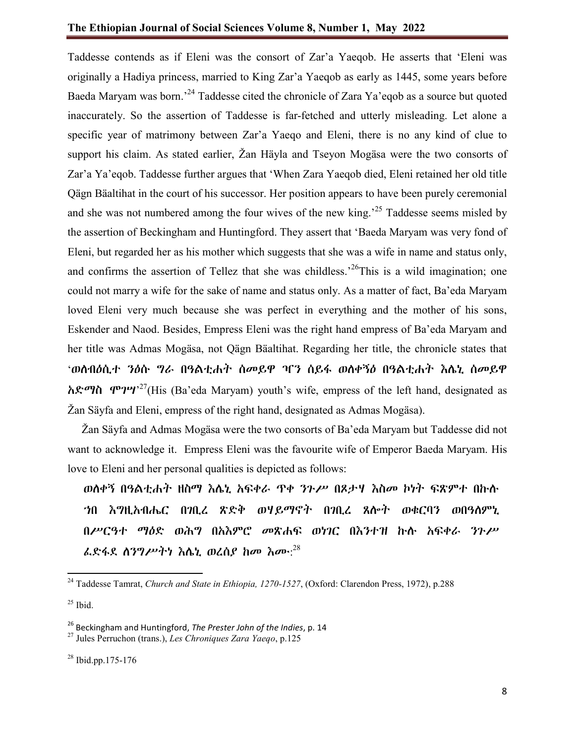Taddesse contends as if Eleni was the consort of Zar'a Yaeqob. He asserts that 'Eleni was originally a Hadiya princess, married to King Zar'a Yaeqob as early as 1445, some years before Baeda Maryam was born.'<sup>24</sup> Taddesse cited the chronicle of Zara Ya'eqob as a source but quoted inaccurately. So the assertion of Taddesse is far-fetched and utterly misleading. Let alone a specific year of matrimony between Zar'a Yaeqo and Eleni, there is no any kind of clue to support his claim. As stated earlier, Žan Häyla and Tseyon Mogäsa were the two consorts of Zar'a Ya'eqob. Taddesse further argues that 'When Zara Yaeqob died, Eleni retained her old title Qägn Bäaltihat in the court of his successor. Her position appears to have been purely ceremonial and she was not numbered among the four wives of the new king.<sup>25</sup> Taddesse seems misled by the assertion of Beckingham and Huntingford. They assert that 'Baeda Maryam was very fond of Eleni, but regarded her as his mother which suggests that she was a wife in name and status only, and confirms the assertion of Tellez that she was childless.<sup>26</sup>This is a wild imagination; one could not marry a wife for the sake of name and status only. As a matter of fact, Ba'eda Maryam loved Eleni very much because she was perfect in everything and the mother of his sons, Eskender and Naod. Besides, Empress Eleni was the right hand empress of Ba'eda Maryam and her title was Admas Mogäsa, not Qägn Bäaltihat. Regarding her title, the chronicle states that 'ወለብዕሲተ ንዕሱ ግራ በዓልቲሐት ሰመይዋ ዣን ሰይፋ ወለቀኝዕ በዓልቲሐት እሌኒ ሰመይዋ  $\hbar \mathcal{K}$ ማስ ሞገሣ'<sup>27</sup>(His (Ba'eda Maryam) youth's wife, empress of the left hand, designated as Žan Säyfa and Eleni, empress of the right hand, designated as Admas Mogäsa).

 Žan Säyfa and Admas Mogäsa were the two consorts of Ba'eda Maryam but Taddesse did not want to acknowledge it. Empress Eleni was the favourite wife of Emperor Baeda Maryam. His love to Eleni and her personal qualities is depicted as follows:

ወለቀኝ በዓልቲሐት ዘስማ እሌኒ አፍቀራ ጥቀ ንጉሥ በጾታሃ እስመ ኮነት ፍጽምተ በኩሉ ኀበ እግዚአብሔር በገቢረ ጽድቅ ወሃይማኖት በገቢረ ጸሎት ወቁርባን ወበዓለምኒ በሥርዓተ ማዕድ ወሕግ በአእምሮ መጽሐፍ ወነገር በእንተዝ ኩሉ አፍቀራ ንጉሥ ፌድፋደ ስንግሥትነ እሴኒ ወረሰ*ያ* ከመ እሙ: $^{28}$ 

 $25$  Ibid.

<sup>24</sup> Taddesse Tamrat, *Church and State in Ethiopia, 1270-1527*, (Oxford: Clarendon Press, 1972), p.288

<sup>26</sup> Beckingham and Huntingford, *The Prester John of the Indies*, p. 14

<sup>27</sup> Jules Perruchon (trans.), *Les Chroniques Zara Yaeqo*, p.125

<sup>28</sup> Ibid.pp.175-176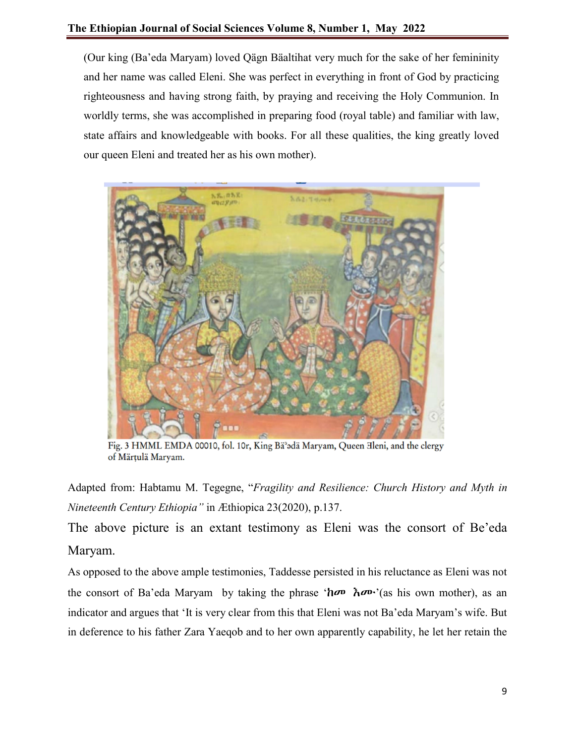(Our king (Ba'eda Maryam) loved Qägn Bäaltihat very much for the sake of her femininity and her name was called Eleni. She was perfect in everything in front of God by practicing righteousness and having strong faith, by praying and receiving the Holy Communion. In worldly terms, she was accomplished in preparing food (royal table) and familiar with law, state affairs and knowledgeable with books. For all these qualities, the king greatly loved our queen Eleni and treated her as his own mother).



Fig. 3 HMML EMDA 00010, fol. 10r, King Bä<sup>2</sup>adä Maryam, Queen Eleni, and the clergy of Märțulä Maryam.

Adapted from: Habtamu M. Tegegne, "*Fragility and Resilience: Church History and Myth in Nineteenth Century Ethiopia"* in Æthiopica 23(2020), p.137.

The above picture is an extant testimony as Eleni was the consort of Be'eda Maryam.

As opposed to the above ample testimonies, Taddesse persisted in his reluctance as Eleni was not the consort of Ba'eda Maryam by taking the phrase ' $h\sigma v$   $\hbar \sigma v$ '(as his own mother), as an indicator and argues that 'It is very clear from this that Eleni was not Ba'eda Maryam's wife. But in deference to his father Zara Yaeqob and to her own apparently capability, he let her retain the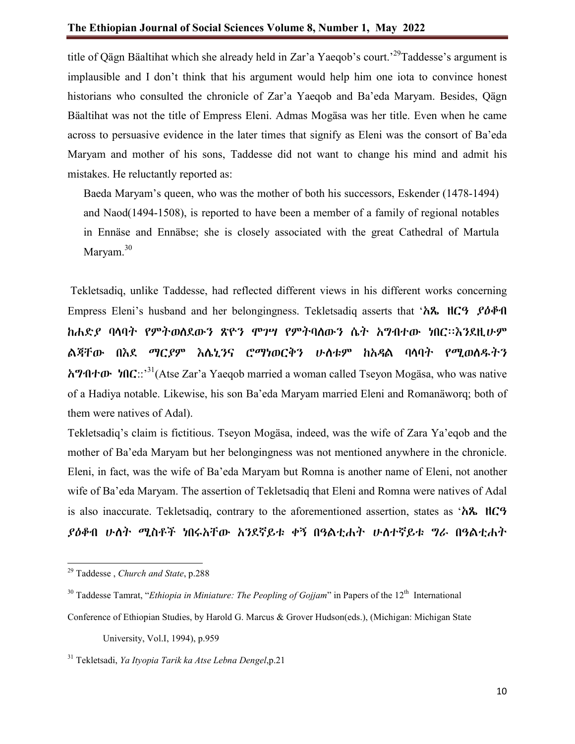title of Qägn Bäaltihat which she already held in Zar'a Yaeqob's court.'<sup>29</sup>Taddesse's argument is implausible and I don't think that his argument would help him one iota to convince honest historians who consulted the chronicle of Zar'a Yaeqob and Ba'eda Maryam. Besides, Qägn Bäaltihat was not the title of Empress Eleni. Admas Mogäsa was her title. Even when he came across to persuasive evidence in the later times that signify as Eleni was the consort of Ba'eda Maryam and mother of his sons, Taddesse did not want to change his mind and admit his mistakes. He reluctantly reported as:

Baeda Maryam's queen, who was the mother of both his successors, Eskender (1478-1494) and Naod(1494-1508), is reported to have been a member of a family of regional notables in Ennäse and Ennäbse; she is closely associated with the great Cathedral of Martula Maryam.<sup>30</sup>

Tekletsadiq, unlike Taddesse, had reflected different views in his different works concerning Empress Eleni's husband and her belongingness. Tekletsadiq asserts that 'አጼ ዘርዓ ያዕቆብ ከሐድያ ባላባት የምትወለደውን ጽዮን ሞገሣ የምትባለውን ሴት አግብተው ነበር፡፡እንደዚሁም ልጃቸው በእደ ማርያም እሌኒንና ሮማነወርቅን ሁለቱም ከአዳል ባላባት የሚወለዱትን አግብተው ነበር::' 31(Atse Zar'a Yaeqob married a woman called Tseyon Mogäsa, who was native of a Hadiya notable. Likewise, his son Ba'eda Maryam married Eleni and Romanäworq; both of them were natives of Adal).

Tekletsadiq's claim is fictitious. Tseyon Mogäsa, indeed, was the wife of Zara Ya'eqob and the mother of Ba'eda Maryam but her belongingness was not mentioned anywhere in the chronicle. Eleni, in fact, was the wife of Ba'eda Maryam but Romna is another name of Eleni, not another wife of Ba'eda Maryam. The assertion of Tekletsadiq that Eleni and Romna were natives of Adal is also inaccurate. Tekletsadiq, contrary to the aforementioned assertion, states as 'አጼ ዘርዓ ያዕቆብ ሁለት ሚስቶች ነበሩአቸው አንደኛይቱ ቀኝ በዓልቲሐት ሁለተኛይቱ ግራ በዓልቲሐት

University, Vol.I, 1994), p.959

<sup>29</sup> Taddesse , *Church and State*, p.288

 $30$  Taddesse Tamrat, "*Ethiopia in Miniature: The Peopling of Gojjam*" in Papers of the  $12<sup>th</sup>$  International

Conference of Ethiopian Studies, by Harold G. Marcus & Grover Hudson(eds.), (Michigan: Michigan State

<sup>31</sup> Tekletsadi, *Ya Ityopia Tarik ka Atse Lebna Dengel*,p.21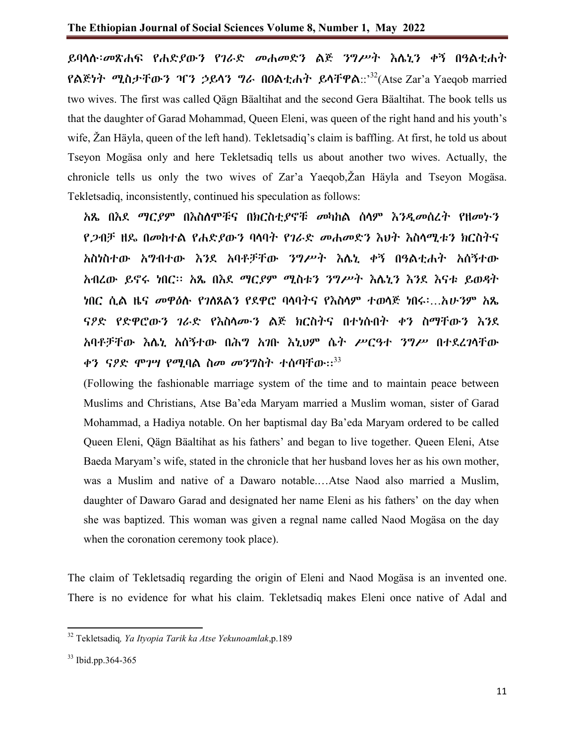ይባላሉ፡መጽሐፍ የሐድያውን የገራድ መሐመድን ልጅ ንግሥት እሌኒን ቀኝ በዓልቲሐት የልጅነት ሚስታቸውን ዣን ኃይላን ግራ በዐልቲሐት ይላቸዋል::' $^{32}$ (Atse Zar'a Yaeqob married two wives. The first was called Qägn Bäaltihat and the second Gera Bäaltihat. The book tells us that the daughter of Garad Mohammad, Queen Eleni, was queen of the right hand and his youth's wife, Žan Häyla, queen of the left hand). Tekletsadiq's claim is baffling. At first, he told us about Tseyon Mogäsa only and here Tekletsadiq tells us about another two wives. Actually, the chronicle tells us only the two wives of Zar'a Yaeqob,Žan Häyla and Tseyon Mogäsa. Tekletsadiq, inconsistently, continued his speculation as follows:

አጼ በእደ ማርያም በእስለሞቹና በክርስቲያኖቹ መካከል ሰላም እንዲመሰረት የዘመኑን የጋብቻ ዘዴ በመከተል የሐድያውን ባላባት የገራድ መሐመድን እህት እስላሚቱን ክርስትና አስነስተው አግብተው እንደ አባቶቻቸው ንግሥት እሌኒ ቀኝ በዓልቲሐት አሰኝተው አብረው ይኖሩ ነበር፡፡ አጼ በእደ ማርያም ሚስቱን ንግሥት እሌኒን እንደ እናቱ ይወዳት ነበር ሲል ዜና መዋዕሉ የገለጸልን የደዋሮ ባላባትና የእስላም ተወላጅ ነበሩ፡…አሁንም አጼ ናዖድ የድዋሮውን ገራድ የእስላሙን ልጅ ክርስትና በተነሱበት ቀን ስማቸውን እንደ አባቶቻቸው እሌኒ አሰኝተው በሕግ አገቡ እኒህም ሴት ሥርዓተ ንግሥ በተደረገላቸው ቀን ናዖድ ሞንሣ የሚባል ስመ መንግስት ተሰጣቸው። $^{33}$ 

(Following the fashionable marriage system of the time and to maintain peace between Muslims and Christians, Atse Ba'eda Maryam married a Muslim woman, sister of Garad Mohammad, a Hadiya notable. On her baptismal day Ba'eda Maryam ordered to be called Queen Eleni, Qägn Bäaltihat as his fathers' and began to live together. Queen Eleni, Atse Baeda Maryam's wife, stated in the chronicle that her husband loves her as his own mother, was a Muslim and native of a Dawaro notable.…Atse Naod also married a Muslim, daughter of Dawaro Garad and designated her name Eleni as his fathers' on the day when she was baptized. This woman was given a regnal name called Naod Mogäsa on the day when the coronation ceremony took place).

The claim of Tekletsadiq regarding the origin of Eleni and Naod Mogäsa is an invented one. There is no evidence for what his claim. Tekletsadiq makes Eleni once native of Adal and

<sup>32</sup> Tekletsadiq*, Ya Ityopia Tarik ka Atse Yekunoamlak*,p.189

<sup>33</sup> Ibid.pp.364-365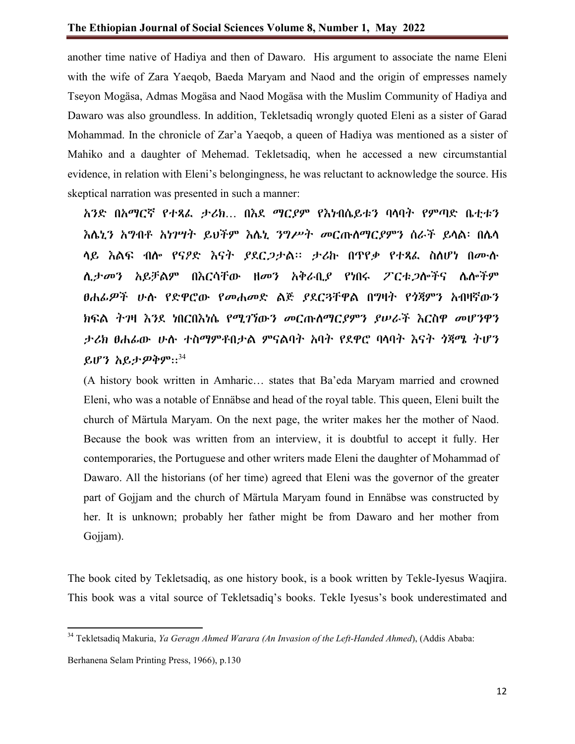another time native of Hadiya and then of Dawaro. His argument to associate the name Eleni with the wife of Zara Yaeqob, Baeda Maryam and Naod and the origin of empresses namely Tseyon Mogäsa, Admas Mogäsa and Naod Mogäsa with the Muslim Community of Hadiya and Dawaro was also groundless. In addition, Tekletsadiq wrongly quoted Eleni as a sister of Garad Mohammad. In the chronicle of Zar'a Yaeqob, a queen of Hadiya was mentioned as a sister of Mahiko and a daughter of Mehemad. Tekletsadiq, when he accessed a new circumstantial evidence, in relation with Eleni's belongingness, he was reluctant to acknowledge the source. His skeptical narration was presented in such a manner:

አንድ በአማርኛ የተጻፈ ታሪክ… በእደ ማርያም የእነብሴይቱን ባላባት የምጣድ ቤቲቱን እሌኒን አግብቶ አነገሣት ይህችም እሌኒ ንግሥት መርጡለማርያምን ሰራች ይላል፡ በሌላ ላይ እልፍ ብሎ የናዖድ እናት ያደርጋታል፡፡ ታሪኩ በጥየቃ የተጻፈ ስለሆነ በሙሉ ሊታመን አይቻልም በእርሳቸው ዘመን አቅራቢያ የነበሩ ፖርቱጋሎችና ሌሎችም ፀሐፊዎች ሁሉ የድዋሮው የመሐመድ ልጅ ያደርቸዋል በግዛት የጎጃምን አብዛኛውን ክፍል ትገዛ እንደ ነበርበእነሴ የሚገኘውን መርጡለማርያምን ያሠራች እርስዋ መሆንዋን ታሪክ ፀሐፊው ሁሉ ተስማምቶበታል ምናልባት አባት የደዋሮ ባላባት እናት ጎጃሜ ትሆን ይሆን አይታዎቅም:: $34$ 

(A history book written in Amharic… states that Ba'eda Maryam married and crowned Eleni, who was a notable of Ennäbse and head of the royal table. This queen, Eleni built the church of Märtula Maryam. On the next page, the writer makes her the mother of Naod. Because the book was written from an interview, it is doubtful to accept it fully. Her contemporaries, the Portuguese and other writers made Eleni the daughter of Mohammad of Dawaro. All the historians (of her time) agreed that Eleni was the governor of the greater part of Gojjam and the church of Märtula Maryam found in Ennäbse was constructed by her. It is unknown; probably her father might be from Dawaro and her mother from Gojjam).

The book cited by Tekletsadiq, as one history book, is a book written by Tekle-Iyesus Waqjira. This book was a vital source of Tekletsadiq's books. Tekle Iyesus's book underestimated and

<sup>34</sup> Tekletsadiq Makuria, *Ya Geragn Ahmed Warara (An Invasion of the Left-Handed Ahmed*), (Addis Ababa:

Berhanena Selam Printing Press, 1966), p.130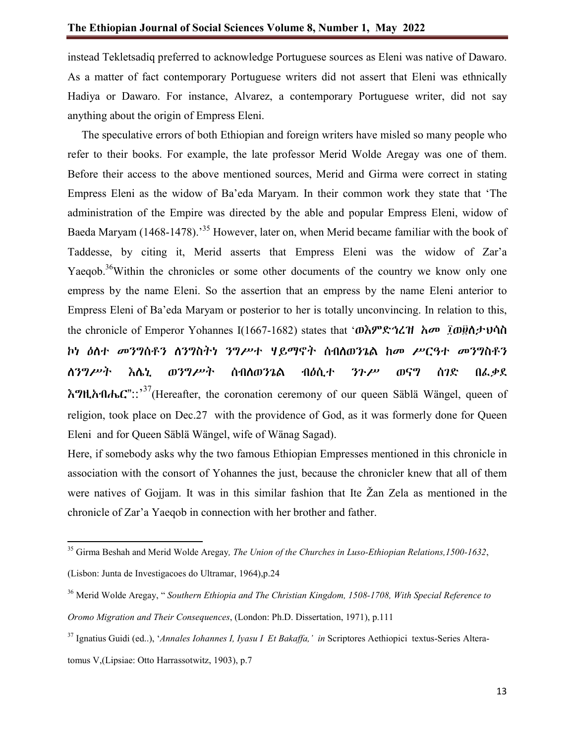instead Tekletsadiq preferred to acknowledge Portuguese sources as Eleni was native of Dawaro. As a matter of fact contemporary Portuguese writers did not assert that Eleni was ethnically Hadiya or Dawaro. For instance, Alvarez, a contemporary Portuguese writer, did not say anything about the origin of Empress Eleni.

 The speculative errors of both Ethiopian and foreign writers have misled so many people who refer to their books. For example, the late professor Merid Wolde Aregay was one of them. Before their access to the above mentioned sources, Merid and Girma were correct in stating Empress Eleni as the widow of Ba'eda Maryam. In their common work they state that 'The administration of the Empire was directed by the able and popular Empress Eleni, widow of Baeda Maryam (1468-1478).<sup>35</sup> However, later on, when Merid became familiar with the book of Taddesse, by citing it, Merid asserts that Empress Eleni was the widow of Zar'a Yaeqob.<sup>36</sup>Within the chronicles or some other documents of the country we know only one empress by the name Eleni. So the assertion that an empress by the name Eleni anterior to Empress Eleni of Ba'eda Maryam or posterior to her is totally unconvincing. In relation to this, the chronicle of Emperor Yohannes I(1667-1682) states that 'ወእምድኅረዝ አመ ፲ወ፱ስታህሳስ ኮነ ዕለተ መንግሰቶን ለንግስትነ ንግሥተ ሃይማኖት ሰብለወንጌል ከመ ሥርዓተ መንግስቶን ለንግሥት እሌኒ ወንግሥት ሰብለወንጌል ብዕሲተ ንጉሥ ወናግ ሰገድ በፈቃደ እግዚአብሔር"::' $^{37}$ (Hereafter, the coronation ceremony of our queen Säblä Wängel, queen of religion, took place on Dec.27 with the providence of God, as it was formerly done for Queen Eleni and for Queen Säblä Wängel, wife of Wänag Sagad).

Here, if somebody asks why the two famous Ethiopian Empresses mentioned in this chronicle in association with the consort of Yohannes the just, because the chronicler knew that all of them were natives of Gojjam. It was in this similar fashion that Ite Žan Zela as mentioned in the chronicle of Zar'a Yaeqob in connection with her brother and father.

<sup>35</sup> Girma Beshah and Merid Wolde Aregay*, The Union of the Churches in Luso-Ethiopian Relations,1500-1632*,

<sup>(</sup>Lisbon: Junta de Investigacoes do Ultramar, 1964),p.24

<sup>36</sup> Merid Wolde Aregay, " *Southern Ethiopia and The Christian Kingdom, 1508-1708, With Special Reference to Oromo Migration and Their Consequences*, (London: Ph.D. Dissertation, 1971), p.111

<sup>37</sup> Ignatius Guidi (ed..), '*Annales Iohannes I, Iyasu I Et Bakaffa,' in* Scriptores Aethiopici textus-Series Alteratomus V,(Lipsiae: Otto Harrassotwitz, 1903), p.7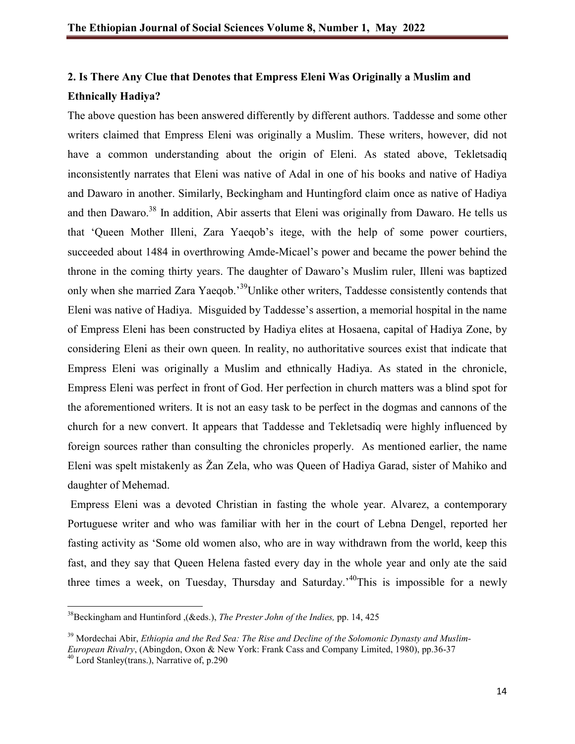# **2. Is There Any Clue that Denotes that Empress Eleni Was Originally a Muslim and Ethnically Hadiya?**

The above question has been answered differently by different authors. Taddesse and some other writers claimed that Empress Eleni was originally a Muslim. These writers, however, did not have a common understanding about the origin of Eleni. As stated above, Tekletsadiq inconsistently narrates that Eleni was native of Adal in one of his books and native of Hadiya and Dawaro in another. Similarly, Beckingham and Huntingford claim once as native of Hadiya and then Dawaro.<sup>38</sup> In addition, Abir asserts that Eleni was originally from Dawaro. He tells us that 'Queen Mother Illeni, Zara Yaeqob's itege, with the help of some power courtiers, succeeded about 1484 in overthrowing Amde-Micael's power and became the power behind the throne in the coming thirty years. The daughter of Dawaro's Muslim ruler, Illeni was baptized only when she married Zara Yaeqob.<sup>39</sup>Unlike other writers, Taddesse consistently contends that Eleni was native of Hadiya. Misguided by Taddesse's assertion, a memorial hospital in the name of Empress Eleni has been constructed by Hadiya elites at Hosaena, capital of Hadiya Zone, by considering Eleni as their own queen. In reality, no authoritative sources exist that indicate that Empress Eleni was originally a Muslim and ethnically Hadiya. As stated in the chronicle, Empress Eleni was perfect in front of God. Her perfection in church matters was a blind spot for the aforementioned writers. It is not an easy task to be perfect in the dogmas and cannons of the church for a new convert. It appears that Taddesse and Tekletsadiq were highly influenced by foreign sources rather than consulting the chronicles properly. As mentioned earlier, the name Eleni was spelt mistakenly as Žan Zela, who was Queen of Hadiya Garad, sister of Mahiko and daughter of Mehemad.

Empress Eleni was a devoted Christian in fasting the whole year. Alvarez, a contemporary Portuguese writer and who was familiar with her in the court of Lebna Dengel, reported her fasting activity as 'Some old women also, who are in way withdrawn from the world, keep this fast, and they say that Queen Helena fasted every day in the whole year and only ate the said three times a week, on Tuesday, Thursday and Saturday.<sup>140</sup>This is impossible for a newly

38Beckingham and Huntinford ,(&eds.), *The Prester John of the Indies,* pp. 14, 425

<sup>39</sup> Mordechai Abir, *Ethiopia and the Red Sea: The Rise and Decline of the Solomonic Dynasty and Muslim-*

*European Rivalry*, (Abingdon, Oxon & New York: Frank Cass and Company Limited, 1980), pp.36-37

<sup>&</sup>lt;sup>40</sup> Lord Stanley(trans.), Narrative of, p.290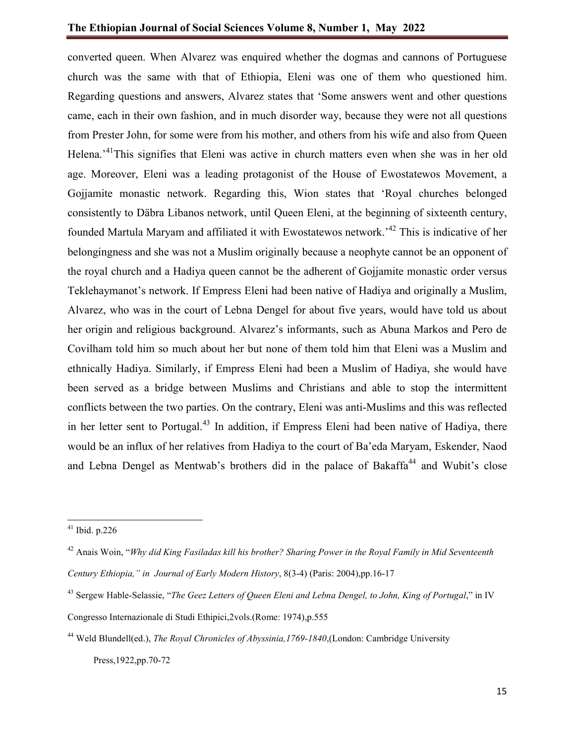converted queen. When Alvarez was enquired whether the dogmas and cannons of Portuguese church was the same with that of Ethiopia, Eleni was one of them who questioned him. Regarding questions and answers, Alvarez states that 'Some answers went and other questions came, each in their own fashion, and in much disorder way, because they were not all questions from Prester John, for some were from his mother, and others from his wife and also from Queen Helena.<sup>41</sup>This signifies that Eleni was active in church matters even when she was in her old age. Moreover, Eleni was a leading protagonist of the House of Ewostatewos Movement, a Gojjamite monastic network. Regarding this, Wion states that 'Royal churches belonged consistently to Däbra Libanos network, until Queen Eleni, at the beginning of sixteenth century, founded Martula Maryam and affiliated it with Ewostatewos network.<sup>42</sup> This is indicative of her belongingness and she was not a Muslim originally because a neophyte cannot be an opponent of the royal church and a Hadiya queen cannot be the adherent of Gojjamite monastic order versus Teklehaymanot's network. If Empress Eleni had been native of Hadiya and originally a Muslim, Alvarez, who was in the court of Lebna Dengel for about five years, would have told us about her origin and religious background. Alvarez's informants, such as Abuna Markos and Pero de Covilham told him so much about her but none of them told him that Eleni was a Muslim and ethnically Hadiya. Similarly, if Empress Eleni had been a Muslim of Hadiya, she would have been served as a bridge between Muslims and Christians and able to stop the intermittent conflicts between the two parties. On the contrary, Eleni was anti-Muslims and this was reflected in her letter sent to Portugal.<sup>43</sup> In addition, if Empress Eleni had been native of Hadiya, there would be an influx of her relatives from Hadiya to the court of Ba'eda Maryam, Eskender, Naod and Lebna Dengel as Mentwab's brothers did in the palace of Bakaffa<sup>44</sup> and Wubit's close

 $41$  Ibid. p.226

<sup>42</sup> Anais Woin, "*Why did King Fasiladas kill his brother? Sharing Power in the Royal Family in Mid Seventeenth Century Ethiopia," in Journal of Early Modern History*, 8(3-4) (Paris: 2004),pp.16-17

<sup>43</sup> Sergew Hable-Selassie, "*The Geez Letters of Queen Eleni and Lebna Dengel, to John, King of Portugal*," in IV Congresso Internazionale di Studi Ethipici,2vols.(Rome: 1974),p.555

<sup>44</sup> Weld Blundell(ed.), *The Royal Chronicles of Abyssinia,1769-1840*,(London: Cambridge University Press,1922,pp.70-72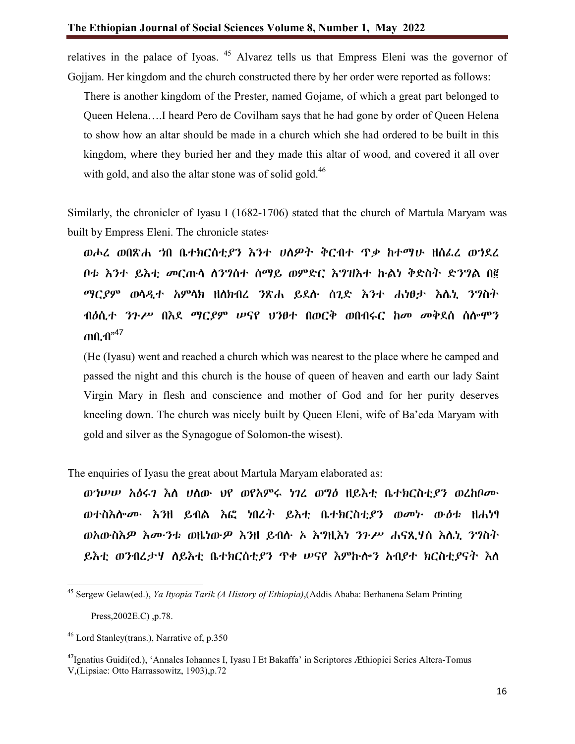relatives in the palace of Iyoas. <sup>45</sup> Alvarez tells us that Empress Eleni was the governor of Gojjam. Her kingdom and the church constructed there by her order were reported as follows:

There is another kingdom of the Prester, named Gojame, of which a great part belonged to Queen Helena….I heard Pero de Covilham says that he had gone by order of Queen Helena to show how an altar should be made in a church which she had ordered to be built in this kingdom, where they buried her and they made this altar of wood, and covered it all over with gold, and also the altar stone was of solid gold. $46$ 

Similarly, the chronicler of Iyasu I (1682-1706) stated that the church of Martula Maryam was built by Empress Eleni. The chronicle states፡

ወሖረ ወበጽሐ ኀበ ቤተክርሰቲያን እንተ ሀለዎት ቅርብተ ጥቃ ከተማሁ ዘሰፈረ ወኀደረ ቦቱ እንተ ይእቲ መርጡላ ለንግሰተ ሰማይ ወምድር እግዝእተ ኩልነ ቅድስት ድንግል በ፪ ማርያም ወላዲተ አምላክ ዘለክብረ ንጽሐ ይደሉ ሰጊድ እንተ ሐነፀታ እሌኒ ንግስት ብዕሲተ ንጉሥ በእደ ማርያም ሠናየ ህንፀተ በወርቅ ወበብሩር ከመ መቅደሰ ሰሎሞን ጠቢብ"<sup>47</sup>

(He (Iyasu) went and reached a church which was nearest to the place where he camped and passed the night and this church is the house of queen of heaven and earth our lady Saint Virgin Mary in flesh and conscience and mother of God and for her purity deserves kneeling down. The church was nicely built by Queen Eleni, wife of Ba'eda Maryam with gold and silver as the Synagogue of Solomon-the wisest).

The enquiries of Iyasu the great about Martula Maryam elaborated as:

ወኀሠሠ አዕሩገ እለ ሀለው ህየ ወየአምሩ ነገረ ወግዕ ዘይእቲ ቤተክርስቲያን ወረከቦሙ ወተስእሎሙ እንዘ ይብል እፎ ነበረት ይእቲ ቤተክርስቲያን ወመኑ ውዕቱ ዘሐነፃ ወአውስእዎ እሙንቱ ወዜነውዎ እንዘ ይብሉ ኦ እግዚእነ ንጉሥ ሐናጺሃሰ እሌኒ ንግስት ይእቲ ወንብረታሃ ለይእቲ ቤተክርሰቲያን ጥቀ ሠናየ እምኩሎን አብያተ ክርስቲያናት እለ

Press,2002E.C) ,p.78.

<sup>45</sup> Sergew Gelaw(ed.), *Ya Ityopia Tarik (A History of Ethiopia)*,(Addis Ababa: Berhanena Selam Printing

 $^{46}$  Lord Stanley(trans.), Narrative of, p.350

<sup>&</sup>lt;sup>47</sup>Ignatius Guidi(ed.), 'Annales Iohannes I, Iyasu I Et Bakaffa' in Scriptores Æthiopici Series Altera-Tomus V,(Lipsiae: Otto Harrassowitz, 1903),p.72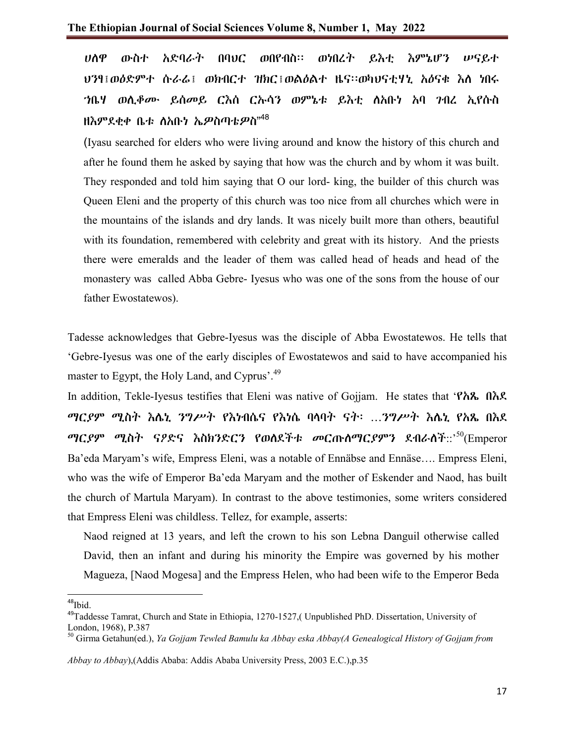ሀለዋ ውስተ አድባራት በባህር ወበየብስ፡፡ ወነበረት ይእቲ እምኔሆን ሠናይተ ህንፃ፤ወዕድምተ ሱራሬ፤ ወክብርተ ዝክር፤ወልዕልተ ዜና፡፡ወካህናቲሃኒ አዕናቁ እለ ነበሩ ኀቤሃ ወሊቆሙ ይሰመይ ርእሰ ርኡሳን ወምኔቱ ይእቲ ለአቡነ አባ ገብረ ኢየሱስ ዘእምደቂቀ ቤቱ ለአቡነ ኤ*ዎ*ስጣቴ*ዎ*ስ"<sup>48</sup>

(Iyasu searched for elders who were living around and know the history of this church and after he found them he asked by saying that how was the church and by whom it was built. They responded and told him saying that O our lord- king, the builder of this church was Queen Eleni and the property of this church was too nice from all churches which were in the mountains of the islands and dry lands. It was nicely built more than others, beautiful with its foundation, remembered with celebrity and great with its history. And the priests there were emeralds and the leader of them was called head of heads and head of the monastery was called Abba Gebre- Iyesus who was one of the sons from the house of our father Ewostatewos).

Tadesse acknowledges that Gebre-Iyesus was the disciple of Abba Ewostatewos. He tells that 'Gebre-Iyesus was one of the early disciples of Ewostatewos and said to have accompanied his master to Egypt, the Holy Land, and Cyprus'.<sup>49</sup>

In addition, Tekle-Iyesus testifies that Eleni was native of Gojjam. He states that 'የአጼ በእደ ማርያም ሚስት እሌኒ ንግሥት የእነብሴና የእነሴ ባላባት ናት፡ …ንግሥት እሌኒ የአጼ በእደ ማር*ያም ሚ*ስት ናዖድና እስክንድርን የወለደችቱ መርጡለማርዖምን ደብራለች::' $^{50}$ (Emperor Ba'eda Maryam's wife, Empress Eleni, was a notable of Ennäbse and Ennäse…. Empress Eleni, who was the wife of Emperor Ba'eda Maryam and the mother of Eskender and Naod, has built the church of Martula Maryam). In contrast to the above testimonies, some writers considered that Empress Eleni was childless. Tellez, for example, asserts:

Naod reigned at 13 years, and left the crown to his son Lebna Danguil otherwise called David, then an infant and during his minority the Empire was governed by his mother Magueza, [Naod Mogesa] and the Empress Helen, who had been wife to the Emperor Beda

<sup>48</sup>Ibid.

<sup>&</sup>lt;sup>49</sup>Taddesse Tamrat, Church and State in Ethiopia, 1270-1527,( Unpublished PhD. Dissertation, University of London, 1968), P.387

<sup>50</sup> Girma Getahun(ed.), *Ya Gojjam Tewled Bamulu ka Abbay eska Abbay(A Genealogical History of Gojjam from* 

*Abbay to Abbay*),(Addis Ababa: Addis Ababa University Press, 2003 E.C.),p.35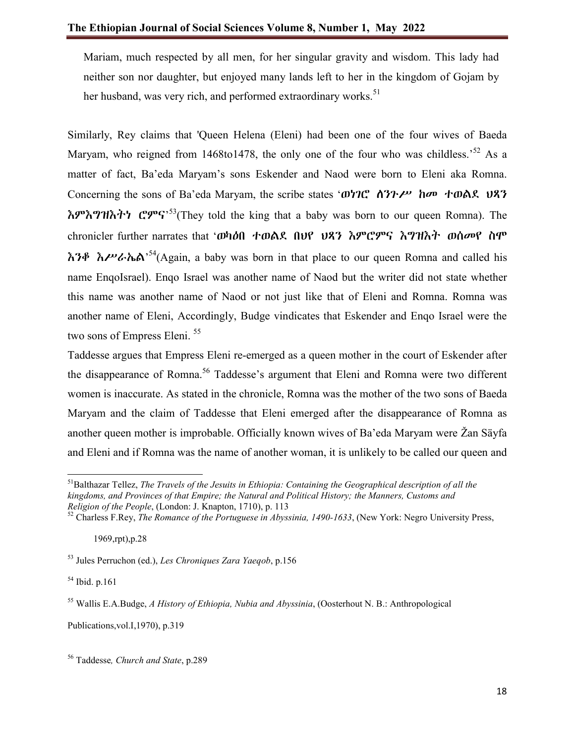Mariam, much respected by all men, for her singular gravity and wisdom. This lady had neither son nor daughter, but enjoyed many lands left to her in the kingdom of Gojam by her husband, was very rich, and performed extraordinary works.<sup>51</sup>

Similarly, Rey claims that 'Queen Helena (Eleni) had been one of the four wives of Baeda Maryam, who reigned from 1468to1478, the only one of the four who was childless.<sup>52</sup> As a matter of fact, Ba'eda Maryam's sons Eskender and Naod were born to Eleni aka Romna. Concerning the sons of Ba'eda Maryam, the scribe states 'ወነገሮ ለንጉሥ ከመ ተወልደ ህጻን  $\hbar$ ም $\hbar$ ግዝ $\hbar$ ትን ሮምና<sup>,53</sup>(They told the king that a baby was born to our queen Romna). The chronicler further narrates that 'ወካዕበ ተወልደ በህየ ህጻን እምሮምና እግዝእት ወሰመየ ስሞ  $\hbar$ ንቶ  $\hbar$ ሥራኬል<sup>,54</sup>(Again, a baby was born in that place to our queen Romna and called his name EnqoIsrael). Enqo Israel was another name of Naod but the writer did not state whether this name was another name of Naod or not just like that of Eleni and Romna. Romna was another name of Eleni, Accordingly, Budge vindicates that Eskender and Enqo Israel were the two sons of Empress Eleni.<sup>55</sup>

Taddesse argues that Empress Eleni re-emerged as a queen mother in the court of Eskender after the disappearance of Romna.<sup>56</sup> Taddesse's argument that Eleni and Romna were two different women is inaccurate. As stated in the chronicle, Romna was the mother of the two sons of Baeda Maryam and the claim of Taddesse that Eleni emerged after the disappearance of Romna as another queen mother is improbable. Officially known wives of Ba'eda Maryam were Žan Säyfa and Eleni and if Romna was the name of another woman, it is unlikely to be called our queen and

<sup>54</sup> Ibid. p.161

Publications,vol.I,1970), p.319

<sup>56</sup> Taddesse*, Church and State*, p.289

51Balthazar Tellez, *The Travels of the Jesuits in Ethiopia: Containing the Geographical description of all the kingdoms, and Provinces of that Empire; the Natural and Political History; the Manners, Customs and Religion of the People*, (London: J. Knapton, 1710), p. 113

<sup>52</sup> Charless F.Rey, *The Romance of the Portuguese in Abyssinia, 1490-1633*, (New York: Negro University Press,

 <sup>1969,</sup>rpt),p.28

<sup>53</sup> Jules Perruchon (ed.), *Les Chroniques Zara Yaeqob*, p.156

<sup>55</sup> Wallis E.A.Budge, *A History of Ethiopia, Nubia and Abyssinia*, (Oosterhout N. B.: Anthropological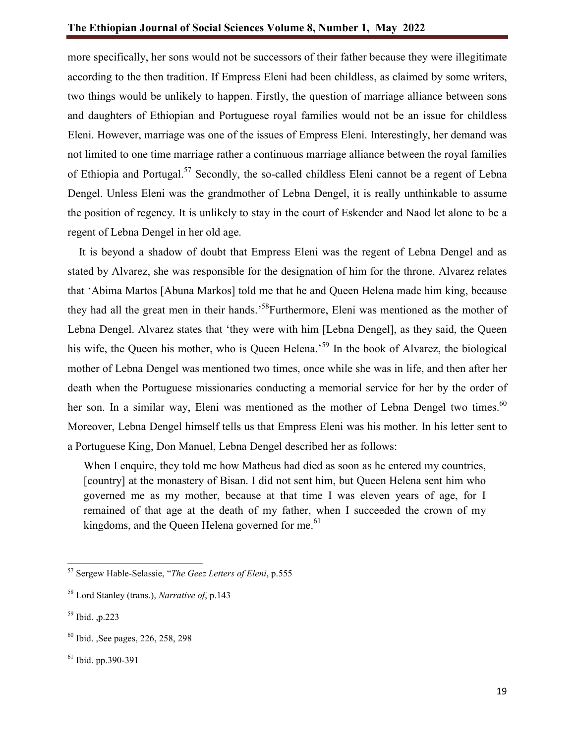more specifically, her sons would not be successors of their father because they were illegitimate according to the then tradition. If Empress Eleni had been childless, as claimed by some writers, two things would be unlikely to happen. Firstly, the question of marriage alliance between sons and daughters of Ethiopian and Portuguese royal families would not be an issue for childless Eleni. However, marriage was one of the issues of Empress Eleni. Interestingly, her demand was not limited to one time marriage rather a continuous marriage alliance between the royal families of Ethiopia and Portugal.<sup>57</sup> Secondly, the so-called childless Eleni cannot be a regent of Lebna Dengel. Unless Eleni was the grandmother of Lebna Dengel, it is really unthinkable to assume the position of regency. It is unlikely to stay in the court of Eskender and Naod let alone to be a regent of Lebna Dengel in her old age.

 It is beyond a shadow of doubt that Empress Eleni was the regent of Lebna Dengel and as stated by Alvarez, she was responsible for the designation of him for the throne. Alvarez relates that 'Abima Martos [Abuna Markos] told me that he and Queen Helena made him king, because they had all the great men in their hands.<sup>58</sup>Furthermore, Eleni was mentioned as the mother of Lebna Dengel. Alvarez states that 'they were with him [Lebna Dengel], as they said, the Queen his wife, the Queen his mother, who is Queen Helena.<sup>59</sup> In the book of Alvarez, the biological mother of Lebna Dengel was mentioned two times, once while she was in life, and then after her death when the Portuguese missionaries conducting a memorial service for her by the order of her son. In a similar way, Eleni was mentioned as the mother of Lebna Dengel two times.<sup>60</sup> Moreover, Lebna Dengel himself tells us that Empress Eleni was his mother. In his letter sent to a Portuguese King, Don Manuel, Lebna Dengel described her as follows:

When I enquire, they told me how Matheus had died as soon as he entered my countries, [country] at the monastery of Bisan. I did not sent him, but Queen Helena sent him who governed me as my mother, because at that time I was eleven years of age, for I remained of that age at the death of my father, when I succeeded the crown of my kingdoms, and the Queen Helena governed for me. $61$ 

<sup>57</sup> Sergew Hable-Selassie, "*The Geez Letters of Eleni*, p.555

<sup>58</sup> Lord Stanley (trans.), *Narrative of*, p.143

<sup>59</sup> Ibid. ,p.223

<sup>60</sup> Ibid. ,See pages, 226, 258, 298

 $61$  Ibid. pp. 390-391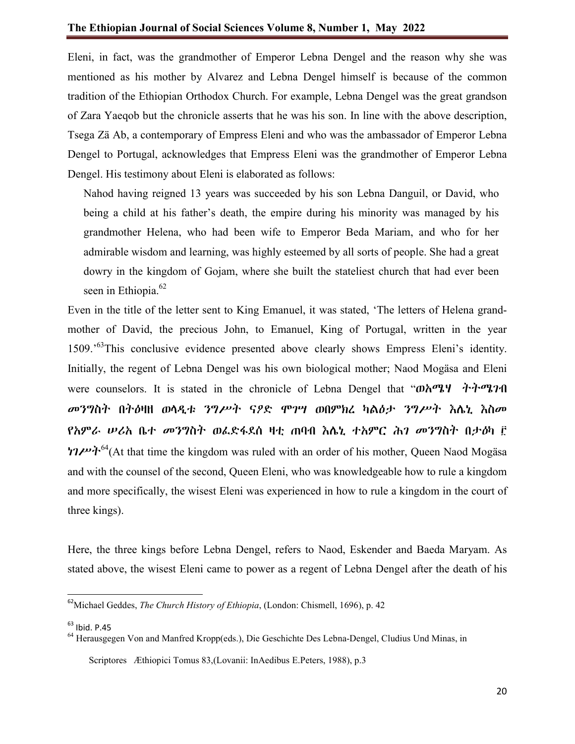Eleni, in fact, was the grandmother of Emperor Lebna Dengel and the reason why she was mentioned as his mother by Alvarez and Lebna Dengel himself is because of the common tradition of the Ethiopian Orthodox Church. For example, Lebna Dengel was the great grandson of Zara Yaeqob but the chronicle asserts that he was his son. In line with the above description, Tsega Zä Ab, a contemporary of Empress Eleni and who was the ambassador of Emperor Lebna Dengel to Portugal, acknowledges that Empress Eleni was the grandmother of Emperor Lebna Dengel. His testimony about Eleni is elaborated as follows:

Nahod having reigned 13 years was succeeded by his son Lebna Danguil, or David, who being a child at his father's death, the empire during his minority was managed by his grandmother Helena, who had been wife to Emperor Beda Mariam, and who for her admirable wisdom and learning, was highly esteemed by all sorts of people. She had a great dowry in the kingdom of Gojam, where she built the stateliest church that had ever been seen in Ethiopia.<sup>62</sup>

Even in the title of the letter sent to King Emanuel, it was stated, 'The letters of Helena grandmother of David, the precious John, to Emanuel, King of Portugal, written in the year 1509.'63This conclusive evidence presented above clearly shows Empress Eleni's identity. Initially, the regent of Lebna Dengel was his own biological mother; Naod Mogäsa and Eleni were counselors. It is stated in the chronicle of Lebna Dengel that "ወአሜሃ ትትምንገብ መንግስት በትዕዛዘ ወላዲቱ ንግሥት ናዖድ ሞገሣ ወበምክረ ካልዕታ ንግሥት እሌኒ እስመ የአምራ ሠሪአ ቤተ መንግስት ወፈድፋደሰ ዛቲ ጠባብ እሌኒ ተአምር ሕገ መንግስት በታዕካ ፫  $17\mu v$ ት<sup>64</sup>(At that time the kingdom was ruled with an order of his mother, Queen Naod Mogäsa and with the counsel of the second, Queen Eleni, who was knowledgeable how to rule a kingdom and more specifically, the wisest Eleni was experienced in how to rule a kingdom in the court of three kings).

Here, the three kings before Lebna Dengel, refers to Naod, Eskender and Baeda Maryam. As stated above, the wisest Eleni came to power as a regent of Lebna Dengel after the death of his

 $63$  Ibid. P.45

 <sup>62</sup>Michael Geddes, *The Church History of Ethiopia*, (London: Chismell, 1696), p. 42

<sup>&</sup>lt;sup>64</sup> Herausgegen Von and Manfred Kropp(eds.), Die Geschichte Des Lebna-Dengel, Cludius Und Minas, in Scriptores Æthiopici Tomus 83,(Lovanii: InAedibus E.Peters, 1988), p.3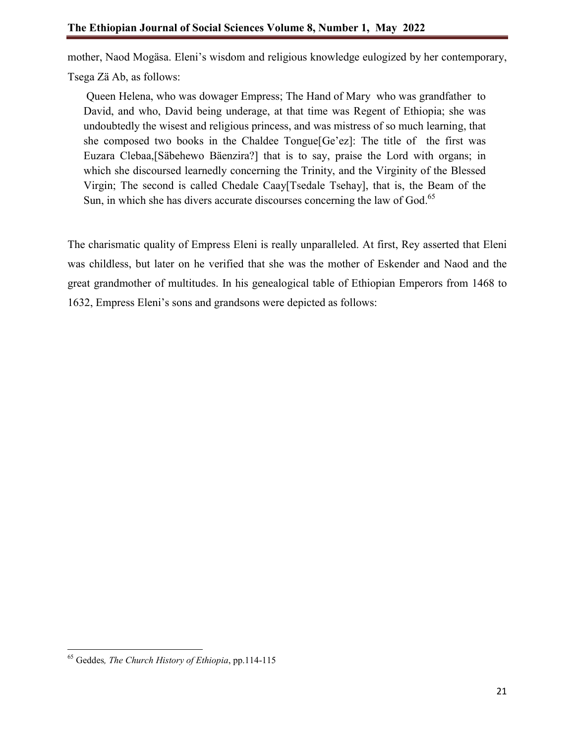mother, Naod Mogäsa. Eleni's wisdom and religious knowledge eulogized by her contemporary,

Tsega Zä Ab, as follows:

Queen Helena, who was dowager Empress; The Hand of Mary who was grandfather to David, and who, David being underage, at that time was Regent of Ethiopia; she was undoubtedly the wisest and religious princess, and was mistress of so much learning, that she composed two books in the Chaldee Tongue[Ge'ez]: The title of the first was Euzara Clebaa,[Säbehewo Bäenzira?] that is to say, praise the Lord with organs; in which she discoursed learnedly concerning the Trinity, and the Virginity of the Blessed Virgin; The second is called Chedale Caay[Tsedale Tsehay], that is, the Beam of the Sun, in which she has divers accurate discourses concerning the law of God.<sup>65</sup>

The charismatic quality of Empress Eleni is really unparalleled. At first, Rey asserted that Eleni was childless, but later on he verified that she was the mother of Eskender and Naod and the great grandmother of multitudes. In his genealogical table of Ethiopian Emperors from 1468 to 1632, Empress Eleni's sons and grandsons were depicted as follows:

<sup>65</sup> Geddes*, The Church History of Ethiopia*, pp.114-115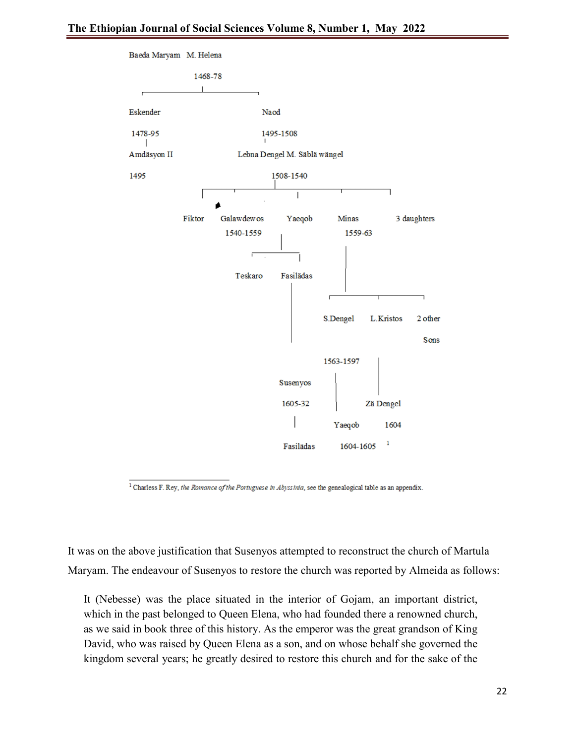

 $<sup>1</sup>$  Charless F. Rey, the Romance of the Portuguese in Abyssinia, see the genealogical table as an appendix.</sup>

It was on the above justification that Susenyos attempted to reconstruct the church of Martula Maryam. The endeavour of Susenyos to restore the church was reported by Almeida as follows:

It (Nebesse) was the place situated in the interior of Gojam, an important district, which in the past belonged to Queen Elena, who had founded there a renowned church, as we said in book three of this history. As the emperor was the great grandson of King David, who was raised by Queen Elena as a son, and on whose behalf she governed the kingdom several years; he greatly desired to restore this church and for the sake of the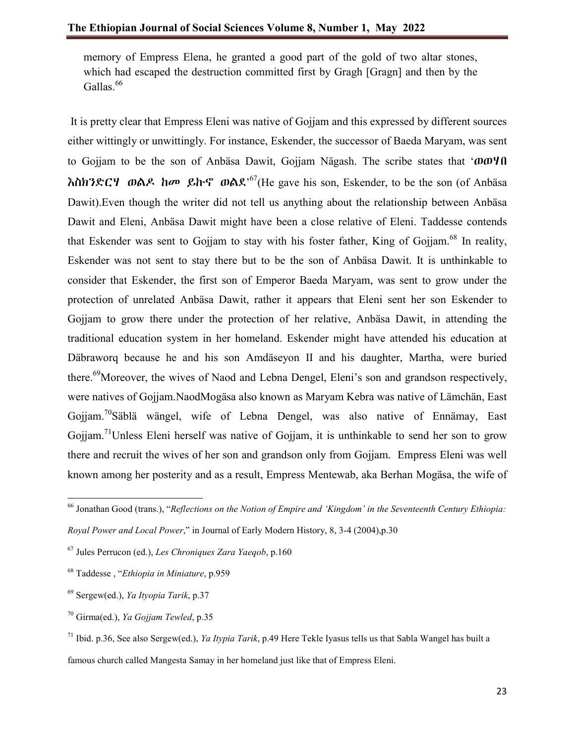memory of Empress Elena, he granted a good part of the gold of two altar stones, which had escaped the destruction committed first by Gragh [Gragn] and then by the Gallas.<sup>66</sup>

It is pretty clear that Empress Eleni was native of Gojjam and this expressed by different sources either wittingly or unwittingly. For instance, Eskender, the successor of Baeda Maryam, was sent to Gojjam to be the son of Anbäsa Dawit, Gojjam Nägash. The scribe states that 'ወወሃበ  $\hbar$ ስክንድርሃ ወልዶ ከመ ይኩኖ ወልደ'<sup>67</sup>(He gave his son, Eskender, to be the son (of Anbäsa Dawit).Even though the writer did not tell us anything about the relationship between Anbäsa Dawit and Eleni, Anbäsa Dawit might have been a close relative of Eleni. Taddesse contends that Eskender was sent to Gojjam to stay with his foster father, King of Gojjam.<sup>68</sup> In reality, Eskender was not sent to stay there but to be the son of Anbäsa Dawit. It is unthinkable to consider that Eskender, the first son of Emperor Baeda Maryam, was sent to grow under the protection of unrelated Anbäsa Dawit, rather it appears that Eleni sent her son Eskender to Gojjam to grow there under the protection of her relative, Anbäsa Dawit, in attending the traditional education system in her homeland. Eskender might have attended his education at Däbraworq because he and his son Amdäseyon II and his daughter, Martha, were buried there.<sup>69</sup>Moreover, the wives of Naod and Lebna Dengel, Eleni's son and grandson respectively, were natives of Gojjam.NaodMogäsa also known as Maryam Kebra was native of Lämchän, East Gojjam.<sup>70</sup>Säblä wängel, wife of Lebna Dengel, was also native of Ennämay, East Gojiam.<sup>71</sup>Unless Eleni herself was native of Gojiam, it is unthinkable to send her son to grow there and recruit the wives of her son and grandson only from Gojjam. Empress Eleni was well known among her posterity and as a result, Empress Mentewab, aka Berhan Mogäsa, the wife of

<sup>66</sup> Jonathan Good (trans.), "*Reflections on the Notion of Empire and 'Kingdom' in the Seventeenth Century Ethiopia: Royal Power and Local Power*," in Journal of Early Modern History, 8, 3-4 (2004),p.30

<sup>67</sup> Jules Perrucon (ed.), *Les Chroniques Zara Yaeqob*, p.160

<sup>68</sup> Taddesse , "*Ethiopia in Miniature*, p.959

<sup>69</sup> Sergew(ed.), *Ya Ityopia Tarik*, p.37

<sup>70</sup> Girma(ed.), *Ya Gojjam Tewled*, p.35

<sup>71</sup> Ibid. p.36, See also Sergew(ed.), *Ya Itypia Tarik*, p.49 Here Tekle Iyasus tells us that Sabla Wangel has built a famous church called Mangesta Samay in her homeland just like that of Empress Eleni.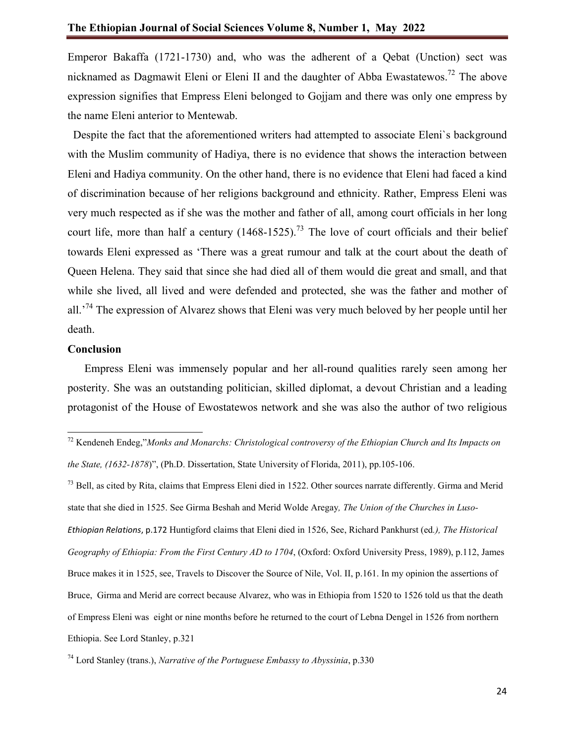Emperor Bakaffa (1721-1730) and, who was the adherent of a Qebat (Unction) sect was nicknamed as Dagmawit Eleni or Eleni II and the daughter of Abba Ewastatewos.<sup>72</sup> The above expression signifies that Empress Eleni belonged to Gojjam and there was only one empress by the name Eleni anterior to Mentewab.

 Despite the fact that the aforementioned writers had attempted to associate Eleni`s background with the Muslim community of Hadiya, there is no evidence that shows the interaction between Eleni and Hadiya community. On the other hand, there is no evidence that Eleni had faced a kind of discrimination because of her religions background and ethnicity. Rather, Empress Eleni was very much respected as if she was the mother and father of all, among court officials in her long court life, more than half a century  $(1468-1525)^{73}$  The love of court officials and their belief towards Eleni expressed as 'There was a great rumour and talk at the court about the death of Queen Helena. They said that since she had died all of them would die great and small, and that while she lived, all lived and were defended and protected, she was the father and mother of all.<sup>74</sup> The expression of Alvarez shows that Eleni was very much beloved by her people until her death.

#### **Conclusion**

 Empress Eleni was immensely popular and her all-round qualities rarely seen among her posterity. She was an outstanding politician, skilled diplomat, a devout Christian and a leading protagonist of the House of Ewostatewos network and she was also the author of two religious

 $73$  Bell, as cited by Rita, claims that Empress Eleni died in 1522. Other sources narrate differently. Girma and Merid state that she died in 1525. See Girma Beshah and Merid Wolde Aregay*, The Union of the Churches in Luso-Ethiopian Relations*, p.172 Huntigford claims that Eleni died in 1526, See, Richard Pankhurst (ed*.), The Historical Geography of Ethiopia: From the First Century AD to 1704*, (Oxford: Oxford University Press, 1989), p.112, James Bruce makes it in 1525, see, Travels to Discover the Source of Nile, Vol. II, p.161. In my opinion the assertions of Bruce, Girma and Merid are correct because Alvarez, who was in Ethiopia from 1520 to 1526 told us that the death of Empress Eleni was eight or nine months before he returned to the court of Lebna Dengel in 1526 from northern Ethiopia. See Lord Stanley, p.321

<sup>72</sup> Kendeneh Endeg,"*Monks and Monarchs: Christological controversy of the Ethiopian Church and Its Impacts on the State, (1632-1878*)", (Ph.D. Dissertation, State University of Florida, 2011), pp.105-106.

<sup>74</sup> Lord Stanley (trans.), *Narrative of the Portuguese Embassy to Abyssinia*, p.330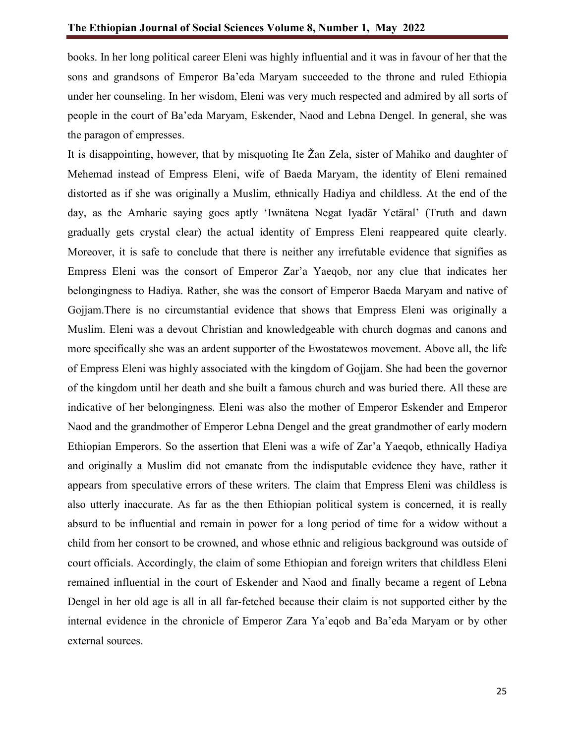books. In her long political career Eleni was highly influential and it was in favour of her that the sons and grandsons of Emperor Ba'eda Maryam succeeded to the throne and ruled Ethiopia under her counseling. In her wisdom, Eleni was very much respected and admired by all sorts of people in the court of Ba'eda Maryam, Eskender, Naod and Lebna Dengel. In general, she was the paragon of empresses.

It is disappointing, however, that by misquoting Ite Žan Zela, sister of Mahiko and daughter of Mehemad instead of Empress Eleni, wife of Baeda Maryam, the identity of Eleni remained distorted as if she was originally a Muslim, ethnically Hadiya and childless. At the end of the day, as the Amharic saying goes aptly 'Iwnätena Negat Iyadär Yetäral' (Truth and dawn gradually gets crystal clear) the actual identity of Empress Eleni reappeared quite clearly. Moreover, it is safe to conclude that there is neither any irrefutable evidence that signifies as Empress Eleni was the consort of Emperor Zar'a Yaeqob, nor any clue that indicates her belongingness to Hadiya. Rather, she was the consort of Emperor Baeda Maryam and native of Gojjam.There is no circumstantial evidence that shows that Empress Eleni was originally a Muslim. Eleni was a devout Christian and knowledgeable with church dogmas and canons and more specifically she was an ardent supporter of the Ewostatewos movement. Above all, the life of Empress Eleni was highly associated with the kingdom of Gojjam. She had been the governor of the kingdom until her death and she built a famous church and was buried there. All these are indicative of her belongingness. Eleni was also the mother of Emperor Eskender and Emperor Naod and the grandmother of Emperor Lebna Dengel and the great grandmother of early modern Ethiopian Emperors. So the assertion that Eleni was a wife of Zar'a Yaeqob, ethnically Hadiya and originally a Muslim did not emanate from the indisputable evidence they have, rather it appears from speculative errors of these writers. The claim that Empress Eleni was childless is also utterly inaccurate. As far as the then Ethiopian political system is concerned, it is really absurd to be influential and remain in power for a long period of time for a widow without a child from her consort to be crowned, and whose ethnic and religious background was outside of court officials. Accordingly, the claim of some Ethiopian and foreign writers that childless Eleni remained influential in the court of Eskender and Naod and finally became a regent of Lebna Dengel in her old age is all in all far-fetched because their claim is not supported either by the internal evidence in the chronicle of Emperor Zara Ya'eqob and Ba'eda Maryam or by other external sources.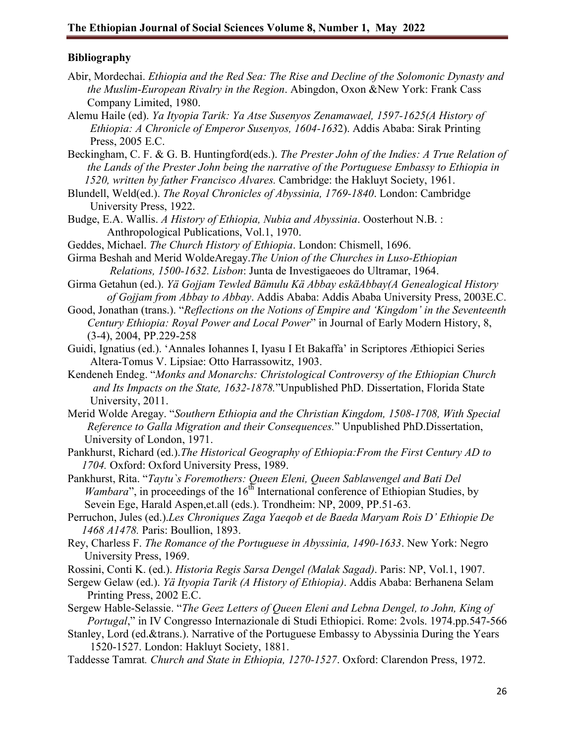### **Bibliography**

- Abir, Mordechai. *Ethiopia and the Red Sea: The Rise and Decline of the Solomonic Dynasty and the Muslim-European Rivalry in the Region*. Abingdon, Oxon &New York: Frank Cass Company Limited, 1980.
- Alemu Haile (ed). *Ya Ityopia Tarik: Ya Atse Susenyos Zenamawael, 1597-1625(A History of Ethiopia: A Chronicle of Emperor Susenyos, 1604-163*2). Addis Ababa: Sirak Printing Press, 2005 E.C.
- Beckingham, C. F. & G. B. Huntingford(eds.). *The Prester John of the Indies: A True Relation of the Lands of the Prester John being the narrative of the Portuguese Embassy to Ethiopia in 1520, written by father Francisco Alvares.* Cambridge: the Hakluyt Society, 1961.
- Blundell, Weld(ed.). *The Royal Chronicles of Abyssinia, 1769-1840*. London: Cambridge University Press, 1922.
- Budge, E.A. Wallis. *A History of Ethiopia, Nubia and Abyssinia*. Oosterhout N.B. : Anthropological Publications, Vol.1, 1970.
- Geddes, Michael. *The Church History of Ethiopia*. London: Chismell, 1696.
- Girma Beshah and Merid WoldeAregay.*The Union of the Churches in Luso-Ethiopian Relations, 1500-1632. Lisbon*: Junta de Investigaeoes do Ultramar, 1964.
- Girma Getahun (ed.). *Yä Gojjam Tewled Bämulu Kä Abbay eskäAbbay(A Genealogical History of Gojjam from Abbay to Abbay*. Addis Ababa: Addis Ababa University Press, 2003E.C.
- Good, Jonathan (trans.). "*Reflections on the Notions of Empire and 'Kingdom' in the Seventeenth Century Ethiopia: Royal Power and Local Power*" in Journal of Early Modern History, 8, (3-4), 2004, PP.229-258
- Guidi, Ignatius (ed.). 'Annales Iohannes I, Iyasu I Et Bakaffa' in Scriptores Æthiopici Series Altera-Tomus V. Lipsiae: Otto Harrassowitz, 1903.
- Kendeneh Endeg. "*Monks and Monarchs: Christological Controversy of the Ethiopian Church and Its Impacts on the State, 1632-1878.*"Unpublished PhD. Dissertation, Florida State University, 2011.
- Merid Wolde Aregay. "*Southern Ethiopia and the Christian Kingdom, 1508-1708, With Special Reference to Galla Migration and their Consequences.*" Unpublished PhD.Dissertation, University of London, 1971.
- Pankhurst, Richard (ed.).*The Historical Geography of Ethiopia:From the First Century AD to 1704.* Oxford: Oxford University Press, 1989.
- Pankhurst, Rita. "*Taytu`s Foremothers: Queen Eleni, Queen Sablawengel and Bati Del Wambara*", in proceedings of the 16<sup>th</sup> International conference of Ethiopian Studies, by Sevein Ege, Harald Aspen,et.all (eds.). Trondheim: NP, 2009, PP.51-63.
- Perruchon, Jules (ed.).*Les Chroniques Zaga Yaeqob et de Baeda Maryam Rois D' Ethiopie De 1468 A1478.* Paris: Boullion, 1893.
- Rey, Charless F. *The Romance of the Portuguese in Abyssinia, 1490-1633*. New York: Negro University Press, 1969.
- Rossini, Conti K. (ed.). *Historia Regis Sarsa Dengel (Malak Sagad)*. Paris: NP, Vol.1, 1907.
- Sergew Gelaw (ed.). *Yä Ityopia Tarik (A History of Ethiopia)*. Addis Ababa: Berhanena Selam Printing Press, 2002 E.C.
- Sergew Hable-Selassie. "*The Geez Letters of Queen Eleni and Lebna Dengel, to John, King of Portugal*," in IV Congresso Internazionale di Studi Ethiopici. Rome: 2vols. 1974.pp.547-566
- Stanley, Lord (ed.&trans.). Narrative of the Portuguese Embassy to Abyssinia During the Years 1520-1527. London: Hakluyt Society, 1881.
- Taddesse Tamrat*. Church and State in Ethiopia, 1270-1527*. Oxford: Clarendon Press, 1972.